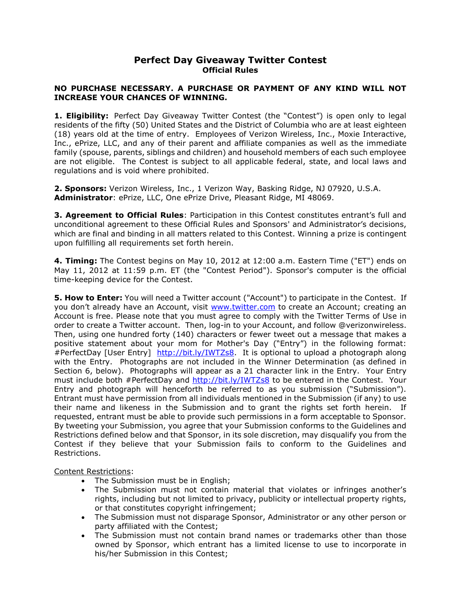## **Perfect Day Giveaway Twitter Contest Official Rules**

## **NO PURCHASE NECESSARY. A PURCHASE OR PAYMENT OF ANY KIND WILL NOT INCREASE YOUR CHANCES OF WINNING.**

**1. Eligibility:** Perfect Day Giveaway Twitter Contest (the "Contest") is open only to legal residents of the fifty (50) United States and the District of Columbia who are at least eighteen (18) years old at the time of entry. Employees of Verizon Wireless, Inc., Moxie Interactive, Inc., ePrize, LLC, and any of their parent and affiliate companies as well as the immediate family (spouse, parents, siblings and children) and household members of each such employee are not eligible. The Contest is subject to all applicable federal, state, and local laws and regulations and is void where prohibited.

**2. Sponsors:** Verizon Wireless, Inc., 1 Verizon Way, Basking Ridge, NJ 07920, U.S.A. **Administrator**: ePrize, LLC, One ePrize Drive, Pleasant Ridge, MI 48069.

**3. Agreement to Official Rules**: Participation in this Contest constitutes entrant's full and unconditional agreement to these Official Rules and Sponsors' and Administrator's decisions, which are final and binding in all matters related to this Contest. Winning a prize is contingent upon fulfilling all requirements set forth herein.

**4. Timing:** The Contest begins on May 10, 2012 at 12:00 a.m. Eastern Time ("ET") ends on May 11, 2012 at 11:59 p.m. ET (the "Contest Period"). Sponsor's computer is the official time-keeping device for the Contest.

**5. How to Enter:** You will need a Twitter account ("Account") to participate in the Contest. If you don't already have an Account, visit [www.twitter.com](http://www.twitter.com/) to create an Account; creating an Account is free. Please note that you must agree to comply with the Twitter Terms of Use in order to create a Twitter account. Then, log-in to your Account, and follow @verizonwireless. Then, using one hundred forty (140) characters or fewer tweet out a message that makes a positive statement about your mom for Mother's Day ("Entry") in the following format: #PerfectDay [User Entry] [http://bit.ly/IWTZs8.](http://bit.ly/IWTZs8) It is optional to upload a photograph along with the Entry. Photographs are not included in the Winner Determination (as defined in Section 6, below). Photographs will appear as a 21 character link in the Entry. Your Entry must include both #PerfectDay and<http://bit.ly/IWTZs8> to be entered in the Contest. Your Entry and photograph will henceforth be referred to as you submission ("Submission"). Entrant must have permission from all individuals mentioned in the Submission (if any) to use their name and likeness in the Submission and to grant the rights set forth herein. If requested, entrant must be able to provide such permissions in a form acceptable to Sponsor. By tweeting your Submission, you agree that your Submission conforms to the Guidelines and Restrictions defined below and that Sponsor, in its sole discretion, may disqualify you from the Contest if they believe that your Submission fails to conform to the Guidelines and Restrictions.

Content Restrictions:

- The Submission must be in English;
- The Submission must not contain material that violates or infringes another's rights, including but not limited to privacy, publicity or intellectual property rights, or that constitutes copyright infringement;
- The Submission must not disparage Sponsor, Administrator or any other person or party affiliated with the Contest;
- The Submission must not contain brand names or trademarks other than those owned by Sponsor, which entrant has a limited license to use to incorporate in his/her Submission in this Contest;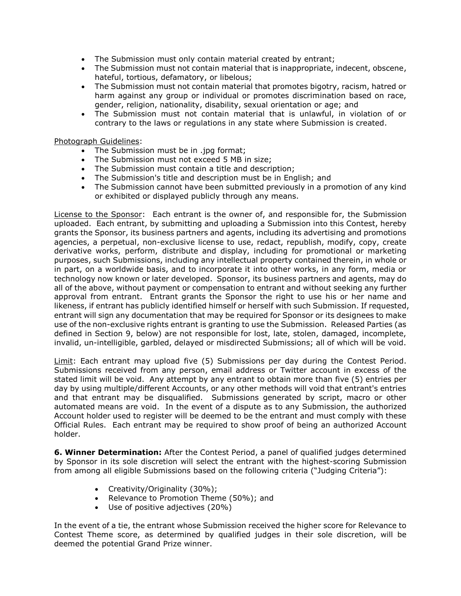- The Submission must only contain material created by entrant;
- The Submission must not contain material that is inappropriate, indecent, obscene, hateful, tortious, defamatory, or libelous;
- The Submission must not contain material that promotes bigotry, racism, hatred or harm against any group or individual or promotes discrimination based on race, gender, religion, nationality, disability, sexual orientation or age; and
- The Submission must not contain material that is unlawful, in violation of or contrary to the laws or regulations in any state where Submission is created.

## Photograph Guidelines:

- The Submission must be in .jpg format;
- The Submission must not exceed 5 MB in size;
- The Submission must contain a title and description;
- The Submission's title and description must be in English; and
- The Submission cannot have been submitted previously in a promotion of any kind or exhibited or displayed publicly through any means.

License to the Sponsor:Each entrant is the owner of, and responsible for, the Submission uploaded. Each entrant, by submitting and uploading a Submission into this Contest, hereby grants the Sponsor, its business partners and agents, including its advertising and promotions agencies, a perpetual, non-exclusive license to use, redact, republish, modify, copy, create derivative works, perform, distribute and display, including for promotional or marketing purposes, such Submissions, including any intellectual property contained therein, in whole or in part, on a worldwide basis, and to incorporate it into other works, in any form, media or technology now known or later developed. Sponsor, its business partners and agents, may do all of the above, without payment or compensation to entrant and without seeking any further approval from entrant. Entrant grants the Sponsor the right to use his or her name and likeness, if entrant has publicly identified himself or herself with such Submission. If requested, entrant will sign any documentation that may be required for Sponsor or its designees to make use of the non-exclusive rights entrant is granting to use the Submission. Released Parties (as defined in Section 9, below) are not responsible for lost, late, stolen, damaged, incomplete, invalid, un-intelligible, garbled, delayed or misdirected Submissions; all of which will be void.

Limit: Each entrant may upload five (5) Submissions per day during the Contest Period. Submissions received from any person, email address or Twitter account in excess of the stated limit will be void. Any attempt by any entrant to obtain more than five (5) entries per day by using multiple/different Accounts, or any other methods will void that entrant's entries and that entrant may be disqualified. Submissions generated by script, macro or other automated means are void. In the event of a dispute as to any Submission, the authorized Account holder used to register will be deemed to be the entrant and must comply with these Official Rules. Each entrant may be required to show proof of being an authorized Account holder.

**6. Winner Determination:** After the Contest Period, a panel of qualified judges determined by Sponsor in its sole discretion will select the entrant with the highest-scoring Submission from among all eligible Submissions based on the following criteria ("Judging Criteria"):

- Creativity/Originality (30%);
- Relevance to Promotion Theme (50%); and
- Use of positive adjectives (20%)

In the event of a tie, the entrant whose Submission received the higher score for Relevance to Contest Theme score, as determined by qualified judges in their sole discretion, will be deemed the potential Grand Prize winner.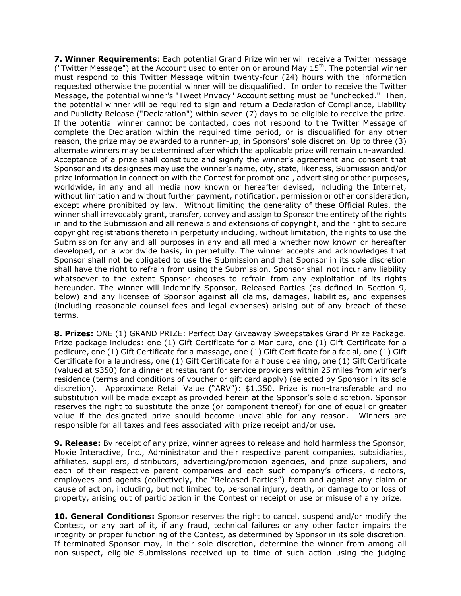**7. Winner Requirements**: Each potential Grand Prize winner will receive a Twitter message ("Twitter Message") at the Account used to enter on or around May  $15<sup>th</sup>$ . The potential winner must respond to this Twitter Message within twenty-four (24) hours with the information requested otherwise the potential winner will be disqualified. In order to receive the Twitter Message, the potential winner's "Tweet Privacy" Account setting must be "unchecked." Then, the potential winner will be required to sign and return a Declaration of Compliance, Liability and Publicity Release ("Declaration") within seven (7) days to be eligible to receive the prize. If the potential winner cannot be contacted, does not respond to the Twitter Message of complete the Declaration within the required time period, or is disqualified for any other reason, the prize may be awarded to a runner-up, in Sponsors' sole discretion. Up to three (3) alternate winners may be determined after which the applicable prize will remain un-awarded. Acceptance of a prize shall constitute and signify the winner's agreement and consent that Sponsor and its designees may use the winner's name, city, state, likeness, Submission and/or prize information in connection with the Contest for promotional, advertising or other purposes, worldwide, in any and all media now known or hereafter devised, including the Internet, without limitation and without further payment, notification, permission or other consideration, except where prohibited by law. Without limiting the generality of these Official Rules, the winner shall irrevocably grant, transfer, convey and assign to Sponsor the entirety of the rights in and to the Submission and all renewals and extensions of copyright, and the right to secure copyright registrations thereto in perpetuity including, without limitation, the rights to use the Submission for any and all purposes in any and all media whether now known or hereafter developed, on a worldwide basis, in perpetuity. The winner accepts and acknowledges that Sponsor shall not be obligated to use the Submission and that Sponsor in its sole discretion shall have the right to refrain from using the Submission. Sponsor shall not incur any liability whatsoever to the extent Sponsor chooses to refrain from any exploitation of its rights hereunder. The winner will indemnify Sponsor, Released Parties (as defined in Section 9, below) and any licensee of Sponsor against all claims, damages, liabilities, and expenses (including reasonable counsel fees and legal expenses) arising out of any breach of these terms.

**8. Prizes:** ONE (1) GRAND PRIZE: Perfect Day Giveaway Sweepstakes Grand Prize Package. Prize package includes: one (1) Gift Certificate for a Manicure, one (1) Gift Certificate for a pedicure, one (1) Gift Certificate for a massage, one (1) Gift Certificate for a facial, one (1) Gift Certificate for a laundress, one (1) Gift Certificate for a house cleaning, one (1) Gift Certificate (valued at \$350) for a dinner at restaurant for service providers within 25 miles from winner's residence (terms and conditions of voucher or gift card apply) (selected by Sponsor in its sole discretion). Approximate Retail Value ("ARV"): \$1,350. Prize is non-transferable and no substitution will be made except as provided herein at the Sponsor's sole discretion. Sponsor reserves the right to substitute the prize (or component thereof) for one of equal or greater value if the designated prize should become unavailable for any reason. Winners are responsible for all taxes and fees associated with prize receipt and/or use.

**9. Release:** By receipt of any prize, winner agrees to release and hold harmless the Sponsor, Moxie Interactive, Inc., Administrator and their respective parent companies, subsidiaries, affiliates, suppliers, distributors, advertising/promotion agencies, and prize suppliers, and each of their respective parent companies and each such company's officers, directors, employees and agents (collectively, the "Released Parties") from and against any claim or cause of action, including, but not limited to, personal injury, death, or damage to or loss of property, arising out of participation in the Contest or receipt or use or misuse of any prize.

**10. General Conditions:** Sponsor reserves the right to cancel, suspend and/or modify the Contest, or any part of it, if any fraud, technical failures or any other factor impairs the integrity or proper functioning of the Contest, as determined by Sponsor in its sole discretion. If terminated Sponsor may, in their sole discretion, determine the winner from among all non-suspect, eligible Submissions received up to time of such action using the judging